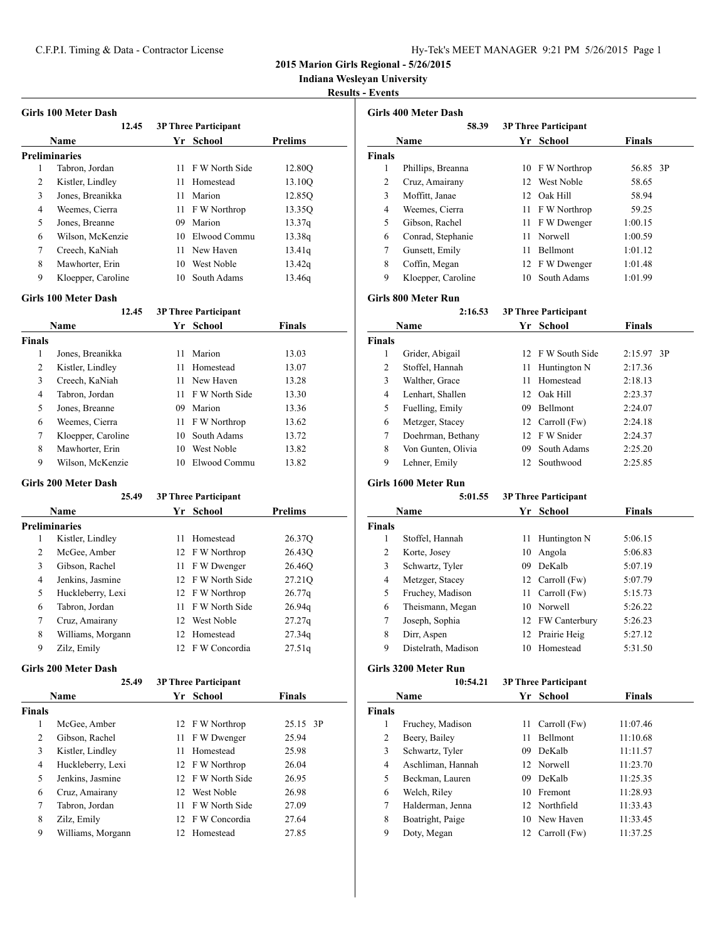**2015 Marion Girls Regional - 5/26/2015**

**Indiana Wesleyan University**

### **Results - Events**

|                                      | Girls 100 Meter Dash |      |                |                    |  |  |  |
|--------------------------------------|----------------------|------|----------------|--------------------|--|--|--|
| 12.45<br><b>3P Three Participant</b> |                      |      |                |                    |  |  |  |
|                                      | Name                 | Yr   | <b>School</b>  | <b>Prelims</b>     |  |  |  |
|                                      | <b>Preliminaries</b> |      |                |                    |  |  |  |
| 1                                    | Tabron, Jordan       | 11   | F W North Side | 12.80O             |  |  |  |
| 2                                    | Kistler, Lindley     | 11   | Homestead      | 13.10O             |  |  |  |
| 3                                    | Jones, Breanikka     | 11   | Marion         | 12.85 <sub>O</sub> |  |  |  |
| 4                                    | Weemes, Cierra       | 11   | F W Northrop   | 13.350             |  |  |  |
| 5                                    | Jones, Breanne       | 09   | Marion         | 13.37q             |  |  |  |
| 6                                    | Wilson, McKenzie     | 10   | Elwood Commu   | 13.38g             |  |  |  |
| 7                                    | Creech, KaNiah       | 11   | New Haven      | 13.41q             |  |  |  |
| 8                                    | Mawhorter, Erin      | 10   | West Noble     | 13.42q             |  |  |  |
| 9                                    | Kloepper, Caroline   | 10 - | South Adams    | 13.46a             |  |  |  |

#### **Girls 100 Meter Dash**

|                | 12.45<br><b>3P Three Participant</b> |    |                 |               |  |  |  |
|----------------|--------------------------------------|----|-----------------|---------------|--|--|--|
|                | <b>Name</b>                          | Yr | School          | <b>Finals</b> |  |  |  |
| <b>Finals</b>  |                                      |    |                 |               |  |  |  |
| 1              | Jones, Breanikka                     | 11 | Marion          | 13.03         |  |  |  |
| 2              | Kistler, Lindley                     | 11 | Homestead       | 13.07         |  |  |  |
| 3              | Creech, KaNiah                       | 11 | New Haven       | 13.28         |  |  |  |
| $\overline{4}$ | Tabron, Jordan                       | 11 | F W North Side  | 13.30         |  |  |  |
| 5              | Jones, Breanne                       | 09 | Marion          | 13.36         |  |  |  |
| 6              | Weemes, Cierra                       |    | 11 F W Northrop | 13.62         |  |  |  |
| 7              | Kloepper, Caroline                   | 10 | South Adams     | 13.72         |  |  |  |
| 8              | Mawhorter, Erin                      | 10 | West Noble      | 13.82         |  |  |  |
| 9              | Wilson, McKenzie                     | 10 | Elwood Commu    | 13.82         |  |  |  |

### **Girls 200 Meter Dash**

|   | 25.49<br><b>3P Three Participant</b> |    |                   |                    |  |  |
|---|--------------------------------------|----|-------------------|--------------------|--|--|
|   | <b>Name</b>                          |    | Yr School         | Prelims            |  |  |
|   | <b>Preliminaries</b>                 |    |                   |                    |  |  |
| 1 | Kistler, Lindley                     | 11 | Homestead         | 26.37Q             |  |  |
| 2 | McGee, Amber                         |    | 12 F W Northrop   | 26.43Q             |  |  |
| 3 | Gibson, Rachel                       |    | 11 F W Dwenger    | 26.46O             |  |  |
| 4 | Jenkins, Jasmine                     |    | 12 F W North Side | 27.21Q             |  |  |
| 5 | Huckleberry, Lexi                    |    | 12 F W Northrop   | 26.77 <sub>q</sub> |  |  |
| 6 | Tabron, Jordan                       |    | 11 F W North Side | 26.94q             |  |  |
| 7 | Cruz, Amairany                       | 12 | West Noble        | 27.27 <sub>q</sub> |  |  |
| 8 | Williams, Morgann                    |    | 12 Homestead      | 27.34q             |  |  |
| 9 | Zilz, Emily                          | 12 | F W Concordia     | 27.51g             |  |  |

#### **Girls 200 Meter Dash**

| 25.49<br><b>3P Three Participant</b> |                   |     |                   |               |  |
|--------------------------------------|-------------------|-----|-------------------|---------------|--|
|                                      | <b>Name</b>       | Yr  | School            | <b>Finals</b> |  |
| <b>Finals</b>                        |                   |     |                   |               |  |
| 1                                    | McGee, Amber      |     | 12 F W Northrop   | 25.15 3P      |  |
| 2                                    | Gibson, Rachel    | 11  | F W Dwenger       | 25.94         |  |
| 3                                    | Kistler, Lindley  | 11  | Homestead         | 25.98         |  |
| 4                                    | Huckleberry, Lexi |     | 12 F W Northrop   | 26.04         |  |
| 5                                    | Jenkins, Jasmine  |     | 12 F W North Side | 26.95         |  |
| 6                                    | Cruz, Amairany    | 12  | West Noble        | 26.98         |  |
| 7                                    | Tabron, Jordan    | 11  | F W North Side    | 27.09         |  |
| 8                                    | Zilz, Emily       | 12. | F W Concordia     | 27.64         |  |
| 9                                    | Williams, Morgann | 12  | Homestead         | 27.85         |  |

| Girls 400 Meter Dash<br>58.39<br><b>3P Three Participant</b> |                    |     |                 |          |  |  |
|--------------------------------------------------------------|--------------------|-----|-----------------|----------|--|--|
|                                                              |                    |     |                 |          |  |  |
| <b>Finals</b>                                                |                    |     |                 |          |  |  |
| 1                                                            | Phillips, Breanna  |     | 10 F W Northrop | 56.85 3P |  |  |
| 2                                                            | Cruz, Amairany     | 12  | West Noble      | 58.65    |  |  |
| 3                                                            | Moffitt, Janae     | 12. | Oak Hill        | 58.94    |  |  |
| 4                                                            | Weemes, Cierra     | 11  | F W Northrop    | 59.25    |  |  |
| 5                                                            | Gibson, Rachel     | 11  | F W Dwenger     | 1:00.15  |  |  |
| 6                                                            | Conrad, Stephanie  | 11  | Norwell         | 1:00.59  |  |  |
| 7                                                            | Gunsett, Emily     | 11  | <b>Bellmont</b> | 1:01.12  |  |  |
| 8                                                            | Coffin, Megan      | 12  | F W Dwenger     | 1:01.48  |  |  |
| 9                                                            | Kloepper, Caroline | 10  | South Adams     | 1:01.99  |  |  |

#### **Girls 800 Meter Run**

### **2:16.53 3P Three Participant Name Yr School Finals Finals** 1 Grider, Abigail 12 F W South Side 2:15.97 3P 2 Stoffel, Hannah 11 Huntington N 2:17.36 Walther, Grace 11 Homestead 2:18.13 Lenhart, Shallen 12 Oak Hill 2:23.37 Fuelling, Emily 09 Bellmont 2:24.07 Metzger, Stacey 12 Carroll (Fw) 2:24.18 Doehrman, Bethany 12 F W Snider 2:24.37 Von Gunten, Olivia 09 South Adams 2:25.20 Lehner, Emily 12 Southwood 2:25.85

### **Girls 1600 Meter Run**

### **5:01.55 3P Three Participant**

| Name          |                     | Yr | School           | <b>Finals</b> |  |
|---------------|---------------------|----|------------------|---------------|--|
| <b>Finals</b> |                     |    |                  |               |  |
| 1             | Stoffel, Hannah     | 11 | Huntington N     | 5:06.15       |  |
| 2             | Korte, Josey        | 10 | Angola           | 5:06.83       |  |
| 3             | Schwartz, Tyler     | 09 | DeKalb           | 5:07.19       |  |
| 4             | Metzger, Stacey     | 12 | Carroll (Fw)     | 5:07.79       |  |
| 5             | Fruchey, Madison    | 11 | Carroll (Fw)     | 5:15.73       |  |
| 6             | Theismann, Megan    |    | 10 Norwell       | 5:26.22       |  |
| 7             | Joseph, Sophia      |    | 12 FW Canterbury | 5:26.23       |  |
| 8             | Dirr, Aspen         |    | 12 Prairie Heig  | 5:27.12       |  |
| 9             | Distelrath, Madison | 10 | Homestead        | 5:31.50       |  |

### **Girls 3200 Meter Run**

### **10:54.21 3P Three Participant**

| Name          |                   | Yr  | School        | <b>Finals</b> |  |
|---------------|-------------------|-----|---------------|---------------|--|
| <b>Finals</b> |                   |     |               |               |  |
| 1             | Fruchey, Madison  | 11  | Carroll (Fw)  | 11:07.46      |  |
| 2             | Beery, Bailey     | 11  | Bellmont      | 11:10.68      |  |
| 3             | Schwartz, Tyler   | 09  | DeKalb        | 11:11.57      |  |
| 4             | Aschliman, Hannah |     | 12 Norwell    | 11:23.70      |  |
| 5             | Beckman, Lauren   | 09  | DeKalb        | 11:25.35      |  |
| 6             | Welch, Riley      | 10  | Fremont       | 11:28.93      |  |
| 7             | Halderman, Jenna  |     | 12 Northfield | 11:33.43      |  |
| 8             | Boatright, Paige  | 10  | New Haven     | 11:33.45      |  |
| 9             | Doty, Megan       | 12. | Carroll (Fw)  | 11:37.25      |  |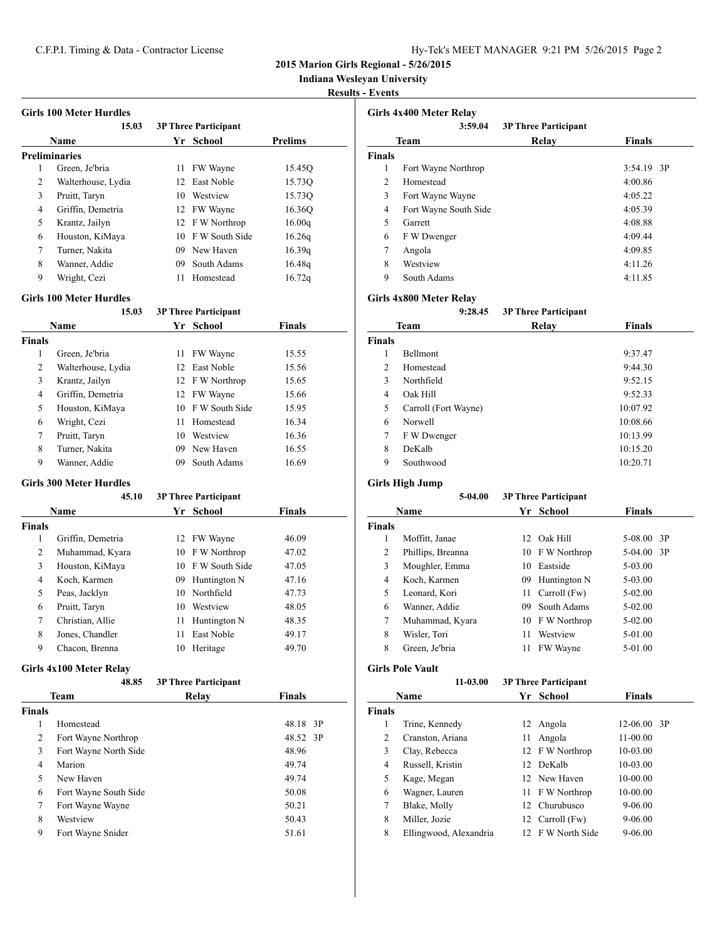**2015 Marion Girls Regional - 5/26/2015**

**Indiana Wesleyan University**

#### **Results - Events**

|   | <b>Girls 100 Meter Hurdles</b>       |    |                   |                |  |  |  |  |
|---|--------------------------------------|----|-------------------|----------------|--|--|--|--|
|   | 15.03<br><b>3P Three Participant</b> |    |                   |                |  |  |  |  |
|   | <b>Name</b>                          | Yr | School            | <b>Prelims</b> |  |  |  |  |
|   | <b>Preliminaries</b>                 |    |                   |                |  |  |  |  |
| 1 | Green, Je'bria                       | 11 | FW Wayne          | 15.45Q         |  |  |  |  |
| 2 | Walterhouse, Lydia                   | 12 | <b>East Noble</b> | 15.73Q         |  |  |  |  |
| 3 | Pruitt, Taryn                        | 10 | Westview          | 15.73Q         |  |  |  |  |
| 4 | Griffin, Demetria                    |    | 12 FW Wayne       | 16.360         |  |  |  |  |
| 5 | Krantz, Jailyn                       |    | 12 F W Northrop   | 16.00q         |  |  |  |  |
| 6 | Houston, KiMaya                      | 10 | F W South Side    | 16.26q         |  |  |  |  |
| 7 | Turner, Nakita                       | 09 | New Haven         | 16.39q         |  |  |  |  |
| 8 | Wanner, Addie                        | 09 | South Adams       | 16.48q         |  |  |  |  |
| 9 | Wright, Cezi                         | 11 | Homestead         | 16.72q         |  |  |  |  |

#### **Girls 100 Meter Hurdles**

|               | 15.03<br><b>3P Three Participant</b> |    |                 |               |  |  |  |
|---------------|--------------------------------------|----|-----------------|---------------|--|--|--|
|               | <b>Name</b>                          | Yr | School          | <b>Finals</b> |  |  |  |
| <b>Finals</b> |                                      |    |                 |               |  |  |  |
| 1             | Green, Je'bria                       | 11 | FW Wayne        | 15.55         |  |  |  |
| 2             | Walterhouse, Lydia                   | 12 | East Noble      | 15.56         |  |  |  |
| 3             | Krantz, Jailyn                       |    | 12 F W Northrop | 15.65         |  |  |  |
| 4             | Griffin, Demetria                    |    | 12 FW Wayne     | 15.66         |  |  |  |
| 5             | Houston, KiMaya                      | 10 | F W South Side  | 15.95         |  |  |  |
| 6             | Wright, Cezi                         | 11 | Homestead       | 16.34         |  |  |  |
| 7             | Pruitt, Taryn                        | 10 | Westview        | 16.36         |  |  |  |
| 8             | Turner, Nakita                       | 09 | New Haven       | 16.55         |  |  |  |
| 9             | Wanner, Addie                        | 09 | South Adams     | 16.69         |  |  |  |

#### **Girls 300 Meter Hurdles**

| 45.10<br><b>3P Three Participant</b> |                   |    |                 |        |  |  |
|--------------------------------------|-------------------|----|-----------------|--------|--|--|
|                                      | <b>Name</b>       | Yr | School          | Finals |  |  |
| Finals                               |                   |    |                 |        |  |  |
| 1                                    | Griffin, Demetria | 12 | FW Wayne        | 46.09  |  |  |
| 2                                    | Muhammad, Kyara   |    | 10 F W Northrop | 47.02  |  |  |
| 3                                    | Houston, KiMaya   | 10 | F W South Side  | 47.05  |  |  |
| 4                                    | Koch, Karmen      | 09 | Huntington N    | 47.16  |  |  |
| 5                                    | Peas, Jacklyn     | 10 | Northfield      | 47.73  |  |  |
| 6                                    | Pruitt, Taryn     | 10 | Westview        | 48.05  |  |  |
| 7                                    | Christian, Allie  | 11 | Huntington N    | 48.35  |  |  |
| 8                                    | Jones, Chandler   | 11 | East Noble      | 49.17  |  |  |
| 9                                    | Chacon, Brenna    | 10 | Heritage        | 49.70  |  |  |
|                                      |                   |    |                 |        |  |  |

#### **Girls 4x100 Meter Relay**

| 48.85                 | <b>3P Three Participant</b> |               |  |
|-----------------------|-----------------------------|---------------|--|
| <b>Team</b>           | Relav                       | <b>Finals</b> |  |
|                       |                             |               |  |
| Homestead             |                             | 48.18 3P      |  |
| Fort Wayne Northrop   |                             | 48.52 3P      |  |
| Fort Wayne North Side |                             | 48.96         |  |
| Marion                |                             | 49.74         |  |
| New Haven             |                             | 49.74         |  |
| Fort Wayne South Side |                             | 50.08         |  |
| Fort Wayne Wayne      |                             | 50.21         |  |
| Westview              |                             | 50.43         |  |
| Fort Wayne Snider     |                             | 51.61         |  |
|                       |                             |               |  |

|               | Girls 4x400 Meter Relay |                             |               |  |  |  |  |
|---------------|-------------------------|-----------------------------|---------------|--|--|--|--|
|               | 3:59.04                 | <b>3P Three Participant</b> |               |  |  |  |  |
|               | Team                    | Relav                       | <b>Finals</b> |  |  |  |  |
| <b>Finals</b> |                         |                             |               |  |  |  |  |
| 1             | Fort Wayne Northrop     |                             | 3:54.19 3P    |  |  |  |  |
| 2             | Homestead               |                             | 4:00.86       |  |  |  |  |
| 3             | Fort Wayne Wayne        |                             | 4:05.22       |  |  |  |  |
| 4             | Fort Wayne South Side   |                             | 4:05.39       |  |  |  |  |
| 5             | Garrett                 |                             | 4:08.88       |  |  |  |  |
| 6             | F W Dwenger             |                             | 4:09.44       |  |  |  |  |
| 7             | Angola                  |                             | 4:09.85       |  |  |  |  |
| 8             | Westview                |                             | 4:11.26       |  |  |  |  |
| 9             | South Adams             |                             | 4:11.85       |  |  |  |  |

### **Girls 4x800 Meter Relay**

|               | 9:28.45              | <b>3P Three Participant</b> |               |  |
|---------------|----------------------|-----------------------------|---------------|--|
|               | <b>Team</b>          | Relay                       | <b>Finals</b> |  |
| <b>Finals</b> |                      |                             |               |  |
| 1             | <b>Bellmont</b>      |                             | 9:37.47       |  |
| 2             | Homestead            |                             | 9:44.30       |  |
| 3             | Northfield           |                             | 9:52.15       |  |
| 4             | Oak Hill             |                             | 9:52.33       |  |
| 5             | Carroll (Fort Wayne) |                             | 10:07.92      |  |
| 6             | Norwell              |                             | 10:08.66      |  |
| 7             | F W Dwenger          |                             | 10:13.99      |  |
| 8             | DeKalb               |                             | 10:15.20      |  |
| 9             | Southwood            |                             | 10:20.71      |  |

### **Girls High Jump**

### **5-04.00 3P Three Participant Name Yr School Finals Finals** Moffitt, Janae 12 Oak Hill 5-08.00 3P Phillips, Breanna 10 F W Northrop 5-04.00 3P Moughler, Emma 10 Eastside 5-03.00 Koch, Karmen 09 Huntington N 5-03.00 Leonard, Kori 11 Carroll (Fw) 5-02.00 Wanner, Addie 09 South Adams 5-02.00 Muhammad, Kyara 10 F W Northrop 5-02.00 8 Wisler, Tori 11 Westview 5-01.00 8 Green, Je'bria 11 FW Wayne 5-01.00

## **Girls Pole Vault**

## **11-03.00 3P Three Participant**

| Name          |                        | Yr  | School          | <b>Finals</b> |  |
|---------------|------------------------|-----|-----------------|---------------|--|
| <b>Finals</b> |                        |     |                 |               |  |
| 1             | Trine, Kennedy         |     | 12 Angola       | $12-06.00$ 3P |  |
| 2             | Cranston, Ariana       | 11  | Angola          | 11-00.00      |  |
| 3             | Clay, Rebecca          |     | 12 F W Northrop | 10-03.00      |  |
| 4             | Russell, Kristin       |     | 12 DeKalb       | 10-03.00      |  |
| 5             | Kage, Megan            |     | 12 New Haven    | 10-00.00      |  |
| 6             | Wagner, Lauren         |     | 11 F W Northrop | 10-00.00      |  |
| 7             | Blake, Molly           | 12  | Churubusco      | $9 - 06.00$   |  |
| 8             | Miller, Jozie          | 12  | Carroll (Fw)    | $9 - 06.00$   |  |
| 8             | Ellingwood, Alexandria | 12. | F W North Side  | $9 - 06.00$   |  |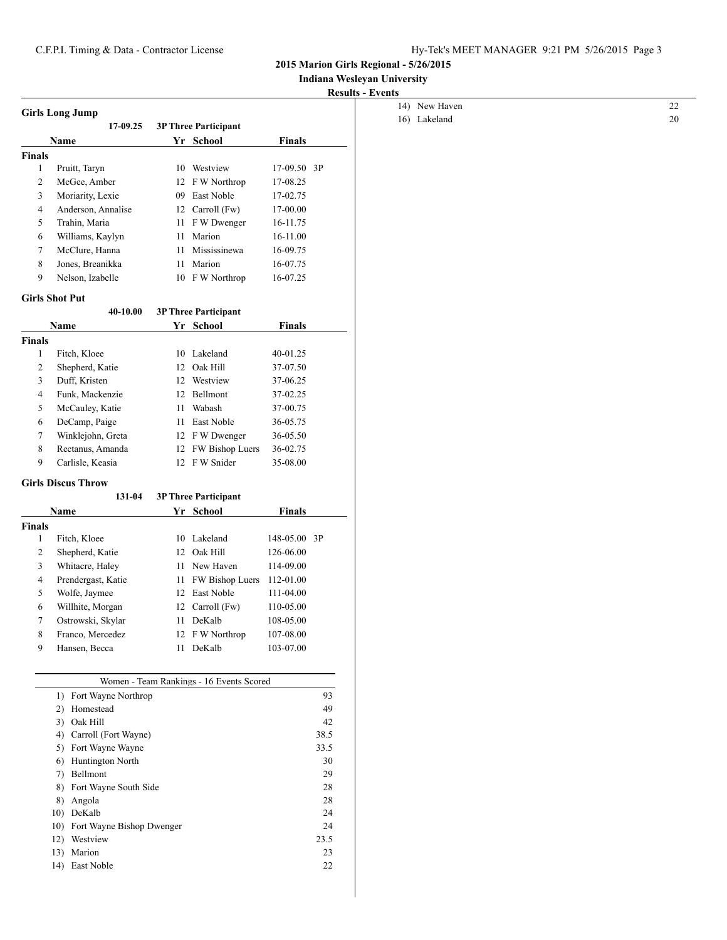**2015 Marion Girls Regional - 5/26/2015**

## **Indiana Wesleyan University**

### **Results - Events**

|                |                           |      |                             |               | <b>Resu</b> |
|----------------|---------------------------|------|-----------------------------|---------------|-------------|
|                | <b>Girls Long Jump</b>    |      |                             |               |             |
|                | 17-09.25                  |      | <b>3P Three Participant</b> |               |             |
|                | Name                      |      | Yr School                   | <b>Finals</b> |             |
| <b>Finals</b>  |                           |      |                             |               |             |
| 1              | Pruitt, Taryn             |      | 10 Westview                 | 17-09.50      | 3P          |
| $\overline{c}$ | McGee, Amber              | 12   | F W Northrop                | 17-08.25      |             |
| 3              | Moriarity, Lexie          |      | 09 East Noble               | 17-02.75      |             |
| $\overline{4}$ | Anderson, Annalise        |      | 12 Carroll (Fw)             | 17-00.00      |             |
| 5              | Trahin, Maria             | 11   | F W Dwenger                 | 16-11.75      |             |
| 6              | Williams, Kaylyn          | 11   | Marion                      | 16-11.00      |             |
| 7              | McClure, Hanna            | 11   | Mississinewa                | 16-09.75      |             |
| 8              | Jones, Breanikka          | 11   | Marion                      | 16-07.75      |             |
| 9              | Nelson, Izabelle          |      | 10 F W Northrop             | 16-07.25      |             |
|                | <b>Girls Shot Put</b>     |      |                             |               |             |
|                | 40-10.00                  |      | <b>3P Three Participant</b> |               |             |
|                | Name                      |      | Yr School                   | <b>Finals</b> |             |
| <b>Finals</b>  |                           |      |                             |               |             |
| $\mathbf{1}$   | Fitch, Kloee              |      | 10 Lakeland                 | 40-01.25      |             |
| $\overline{2}$ | Shepherd, Katie           | 12   | Oak Hill                    | 37-07.50      |             |
| 3              | Duff, Kristen             |      | 12 Westview                 | 37-06.25      |             |
| 4              | Funk, Mackenzie           | 12   | <b>Bellmont</b>             | 37-02.25      |             |
| 5              | McCauley, Katie           | 11   | Wabash                      | 37-00.75      |             |
| 6              | DeCamp, Paige             | 11   | East Noble                  | 36-05.75      |             |
| 7              | Winklejohn, Greta         |      | 12 F W Dwenger              | 36-05.50      |             |
| 8              | Rectanus, Amanda          |      | 12 FW Bishop Luers          | 36-02.75      |             |
| 9              | Carlisle, Keasia          |      | 12 FW Snider                | 35-08.00      |             |
|                | <b>Girls Discus Throw</b> |      |                             |               |             |
|                | 131-04                    |      | <b>3P Three Participant</b> |               |             |
| Name           |                           |      | Yr School                   | <b>Finals</b> |             |
| <b>Finals</b>  |                           |      |                             |               |             |
| 1              | Fitch, Kloee              | 10   | Lakeland                    | 148-05.00     | 3P          |
| 2              | Shepherd, Katie           |      | 12 Oak Hill                 | 126-06.00     |             |
| 3              | Whitacre, Haley           |      | 11 New Haven                | 114-09.00     |             |
| $\overline{4}$ | Prendergast, Katie        | 11 - | FW Bishop Luers             | 112-01.00     |             |
| 5              | Wolfe, Jaymee             |      | 12 East Noble               | 111-04.00     |             |
| 6              | Willhite, Morgan          | 12   | Carroll (Fw)                | 110-05.00     |             |
| 7              | Ostrowski, Skylar         | 11   | DeKalb                      | 108-05.00     |             |
| 8              | Franco, Mercedez          | 12   | F W Northrop                | 107-08.00     |             |

| Women - Team Rankings - 16 Events Scored |                           |      |  |  |
|------------------------------------------|---------------------------|------|--|--|
| 1)                                       | 93<br>Fort Wayne Northrop |      |  |  |
| 2)                                       | Homestead                 | 49   |  |  |
| 3)                                       | Oak Hill                  | 42   |  |  |
| 4)                                       | Carroll (Fort Wayne)      | 38.5 |  |  |
| 5)                                       | Fort Wayne Wayne          | 33.5 |  |  |
| 6)                                       | Huntington North          | 30   |  |  |
| 7)                                       | Bellmont                  | 29   |  |  |
| 8)                                       | Fort Wayne South Side     | 28   |  |  |
| 8)                                       | Angola                    | 28   |  |  |
| 10)                                      | DeKalb                    | 24   |  |  |
| 10)                                      | Fort Wayne Bishop Dwenger | 24   |  |  |
| 12)                                      | Westview                  | 23.5 |  |  |
| 13)                                      | Marion                    | 23   |  |  |
| 14)                                      | East Noble                | 22   |  |  |
|                                          |                           |      |  |  |

9 Hansen, Becca 11 DeKalb 103-07.00

| 14) New Haven |    |
|---------------|----|
| 16) Lakeland  | 20 |